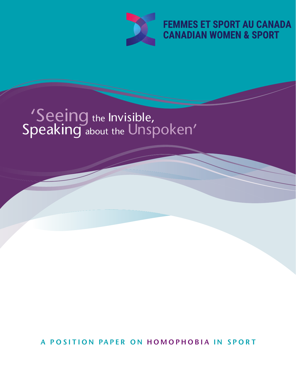

# 'Seeing the Invisible, Speaking about the Unspoken'

A POSITION PAPER ON HOMOPHOBIA IN SPORT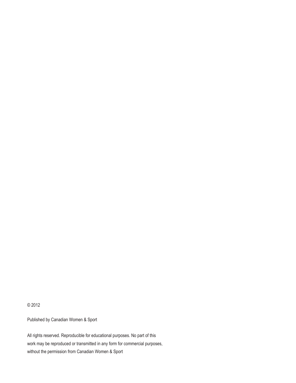© 2012

Published by Canadian Women & Sport

All rights reserved. Reproducible for educational purposes. No part of this work may be reproduced or transmitted in any form for commercial purposes, without the permission from Canadian Women & Sport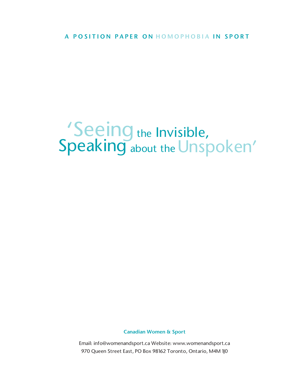# 'Seeing the Invisible, Speaking about the Unspoken'

Canadian Women & Sport

Email: info@womenandsport.ca Website: www.womenandsport.ca 970 Queen Street East, PO Box 98162 Toronto, Ontario, M4M 1J0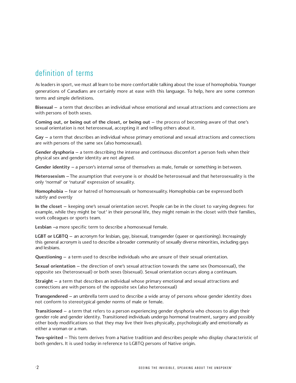# definition of terms

As leaders in sport, we must all learn to be more comfortable talking about the issue of homophobia. Younger generations of Canadians are certainly more at ease with this language. To help, here are some common terms and simple definitions.

Bisexual – a term that describes an individual whose emotional and sexual attractions and connections are with persons of both sexes.

Coming out, or being out of the closet, or being out – the process of becoming aware of that one's sexual orientation is not heterosexual, accepting it and telling others about it.

Gay – a term that describes an individual whose primary emotional and sexual attractions and connections are with persons of the same sex (also homosexual).

Gender dysphoria – a term describing the intense and continuous discomfort a person feels when their physical sex and gender identity are not aligned.

Gender identity – a person's internal sense of themselves as male, female or something in between.

Heterosexism –The assumption that everyone is or should be heterosexual and that heterosexuality is the only 'normal' or 'natural' expression of sexuality.

Homophobia – fear or hatred of homosexuals or homosexuality. Homophobia can be expressed both subtly and overtly

In the closet – keeping one's sexual orientation secret. People can be in the closet to varying degrees: for example, while they might be 'out' in their personal life, they might remain in the closet with their families, work colleagues or sports team.

Lesbian –a more specific term to describe a homosexual female.

LGBT or LGBTQ - an acronym for lesbian, gay, bisexual, transgender (queer or questioning). Increasingly this general acronym is used to describe a broader community of sexually diverse minorities, including gays and lesbians.

Questioning – a term used to describe individuals who are unsure of their sexual orientation.

Sexual orientation – the direction of one's sexual attraction towards the same sex (homosexual), the opposite sex (heterosexual) or both sexes (bisexual). Sexual orientation occurs along a continuum.

Straight – a term that describes an individual whose primary emotional and sexual attractions and connections are with persons of the opposite sex (also heterosexual)

Transgendered – an umbrella term used to describe a wide array of persons whose gender identity does not conform to stereotypical gender norms of male or female.

Transitioned – a term that refers to a person experiencing gender dysphoria who chooses to align their gender role and gender identity. Transitioned individuals undergo hormonal treatment, surgery and possibly other body modifications so that they may live their lives physically, psychologically and emotionally as either a woman or a man.

Two-spirited – This term derives from a Native tradition and describes people who display characteristic of both genders. It is used today in reference to LGBTQ persons of Native origin.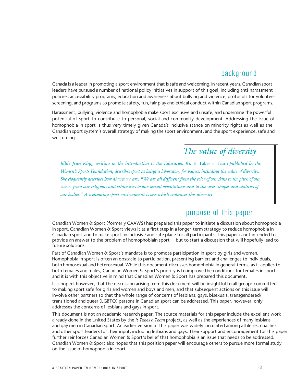### background

Canada is a leader in promoting a sport environment that is safe and welcoming. In recent years, Canadian sport leaders have pursued a number of national policy initiatives in support of this goal, including anti-harassment policies, accessibility programs, education and awareness about bullying and violence, protocols for volunteer screening, and programs to promote safety, fun, fair play and ethical conduct within Canadian sport programs.

Harassment, bullying, violence and homophobia make sport exclusive and unsafe, and undermine the powerful potential of sport to contribute to personal, social and community development. Addressing the issue of homophobia in sport is thus very timely given Canada's inclusive stance on minority rights as well as the Canadian sport system's overall strategy of making the sport environment, and the sport experience, safe and welcoming.

# *The value of diversity*

*Billie Jean King, writing in the introduction to the Education Kit* It Takes a Team *published by the Women's Sports Foundation, describes sport as being a laboratory for values, including the value of diversity.* She eloquently describes how diverse we are: "We are all different from the color of our skins to the pitch of our voices, from our religions and ethnicities to our sexual orientations and to the sizes, shapes and abilities of *our bodies:" A welcoming sport environment is one which embraces this diversity.* 

#### purpose of this paper

Canadian Women & Sport (formerly CAAWS) has prepared this paper to initiate a discussion about homophobia in sport. Canadian Women & Sport views it as a first step in a longer-term strategy to reduce homophobia in Canadian sport and to make sport an inclusive and safe place for all participants. This paper is not intended to provide an answer to the problem of homophobiain sport — but to start a discussion that will hopefully lead to future solutions.

Part of Canadian Women & Sport's mandate is to promote participation in sport by girls and women. Homophobia in sport is often an obstacle to participation, presenting barriers and challenges to individuals, both homosexual and heterosexual. While this document discusses homophobia in general terms, as it applies to both females and males, Canadian Women & Sport's priority is to improve the conditions for females in sport and it is with this objective in mind that Canadian Women & Sport has prepared this document.

It is hoped, however, that the discussion arising from this document will be insightful to all groups committed to making sport safe for girls and women and boys and men, and that subsequent actions on this issue will involve other partners so that the whole range of concerns of lesbians, gays, bisexuals, transgendered/ transitioned and queer (LGBTQ) persons in Canadian sport can be addressed. This paper, however, only addresses the concerns of lesbians and gays in sport.

This document is not an academic research paper. The source materials for this paper include the excellent work already done in the United States by the *It Takes a Team* project, as well as the experiences of many lesbians and gay men in Canadian sport. An earlier version of this paper was widely circulated among athletes, coaches and other sport leaders for their input, including lesbians and gays. Their support and encouragement for this paper further reinforces Canadian Women & Sport's belief that homophobia is an issue that needs to be addressed. Canadian Women & Sport also hopes that this position paper will encourage others to pursue more formal study on the issue of homophobia in sport.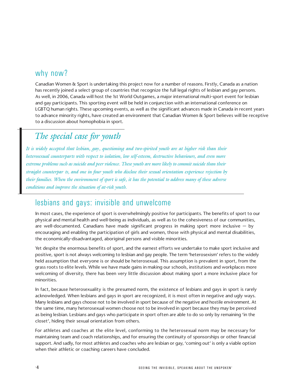## why now?

Canadian Women & Sport is undertaking this project now for a number of reasons. Firstly, Canada as a nation has recently joined a select group of countries that recognize the full legal rights of lesbian and gay persons. As well, in 2006, Canada will host the 1st World Outgames, a major international multi-sport event for lesbian and gay participants. This sporting event will be held in conjunction with an international conference on LGBTQ human rights. These upcoming events, as well as the significant advances made in Canada in recent years to advance minority rights, have created an environment that Canadian Women & Sport believes will be receptive to a discussion about homophobia in sport.

# *The special case for youth*

It is widely accepted that lesbian, gay, questioning and two-spirited youth are at higher risk than their *heterosexual counterparts with respect to isolation, low self-esteem, destructive behaviours, and even more* extreme problems such as suicide and peer violence. These youth are more likely to commit suicide than their *straight counterpar ts, and one in four youth who disclose their sexual orientation experience rejection by* their families. When the environment of sport is safe, it has the potential to address many of these adverse *conditions and improve the situation of at-risk youth.*

#### lesbians and gays: invisible and unwelcome

In most cases, the experience of sport is overwhelmingly positive for participants. The benefits of sport to our physical and mental health and well-being as individuals, as well as to the cohesiveness of our communities, are well-documented. Canadians have made significant progress in making sport more inclusive  $-$  by encouraging and enabling the participation of girls and women, those with physical and mental disabilities, the economically-disadvantaged, aboriginal persons and visible minorities.

Yet despite the enormous benefits of sport, and the earnest efforts we undertake to make sport inclusive and positive, sport is not always welcoming to lesbian and gay people. The term 'heterosexism' refers to the widely held assumption that everyone is or should be heterosexual. This assumption is prevalent in sport, from the grass roots to elite levels. While we have made gains in making our schools, institutions and workplaces more welcoming of diversity, there has been very little discussion about making sport a more inclusive place for minorities.

In fact, because heterosexuality is the presumed norm, the existence of lesbians and gays in sport is rarely acknowledged. When lesbians and gays in sport are recognized, it is most often in negative and ugly ways. Many lesbians and gays choose not to be involved in sport because of the negative and hostile environment. At the same time, many heterosexual women choose not to be involved in sport because they may be perceived as being lesbian. Lesbians and gays who participate in sport often are able to do so only by remaining 'in the closet', hiding their sexual orientation from others.

For athletes and coaches at the elite level, conforming to the heterosexual norm may be necessary for maintaining team and coach relationships, and for ensuring the continuity of sponsorships or other financial support. And sadly, for most athletes and coaches who are lesbian or gay, 'coming out' is only a viable option when their athletic or coaching careers have concluded.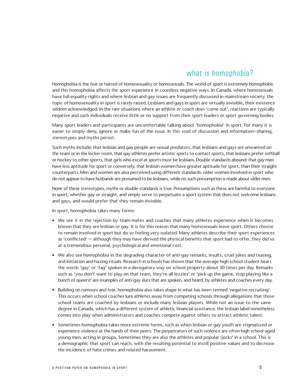## what is homophobia?

Homophobia is the fear or hatred of homosexuality or homosexuals. The world of sport is extremely homophobic and this homophobia affects the sport experience in countless negative ways. In Canada, where homosexuals have full equality rights and where lesbian and gay issues are frequently discussed in mainstream society, the topic of homosexuality in sport is rarely raised. Lesbians and gays in sport are virtually invisible, their existence seldom acknowledged. In the rare situations where an athlete or coach does 'come out', reactions are typically negative and such individuals receive little or no support from their sport leaders or sport governing bodies.

Many sport leaders and participants are uncomfortable talking about 'homophobia' in sport. For many it is easier to simply deny, ignore or make fun of the issue. In this void of discussion and information–sharing, stereotypes and myths persist.

Such myths include: that lesbian and gay people are sexual predators, that lesbians and gays are unwanted on the team or in the locker room, that gay athletes prefer artistic sports to contact sports, that lesbians prefer softball or hockey to other sports, that girls who excel at sports must be lesbians. Double standards abound: that gay men have less aptitude for sport or conversely, that lesbian women have greater aptitude for sport, than their straight counterparts. Men and women are also perceived using different standards: older women involved in sport who do not appear to have husbands are presumed to be lesbians, while no such presumption is made about older men.

None of these stereotypes, myths or double standards is true. Presumptions such as these are harmful to everyone in sport, whether gay or straight, and simply serve to perpetuate a sport system that does not welcome lesbians and gays, and would prefer that they remain invisible.

In sport, homophobia takes many forms:

- We see it in the rejection by team-mates and coaches that many athletes experience when it becomes known that they are lesbian or gay. It is for this reason that many homosexuals leave sport. Others choose to remain involved in sport but do so feeling very isolated. Many athletes describe their sport experiences as 'conflicted' — although they may have derived the physical benefits that sport had to offer, they did so at a tremendous personal, psychological and emotional cost.
- We also see homophobia in the degrading character of anti-gay remarks, insults, cruel jokes and teasing, and initiation and hazing rituals. Research in schools has shown that the average high school student hears the words 'gay' or 'fag' spoken in a derogatory way on school property about 30 times per day. Remarks such as 'you don't want to play on that team, they're all lezzies' or 'pick up the game, stop playing like a bunch of queers!' are examples of anti-gay slurs that are spoken, and heard, by athletes and coaches every day.
- Building on rumours and fear, homophobia also takes shape in what has been termed 'negative recruiting'. This occurs when school coaches lure athletes away from competing schools through allegations that those school teams are coached by lesbians or include many lesbian players. While not an issue to the same degree in Canada, which has a different system of athletic financial assistance, the lesbian label nonetheless comes into play when administrators and coaches compete against others to attract athletic talent.
- Sometimes homophobia takes more extreme forms, such as when lesbian or gay youth are stigmatized or experience violence at the hands of their peers. The perpetrators of such violence are often high school-aged young men, acting in groups. Sometimes they are also the athletes and popular 'jocks' in a school. This is a demographic that sport can reach, with the resulting potential to instill positive values and to decrease the incidence of hate crimes and related harassment.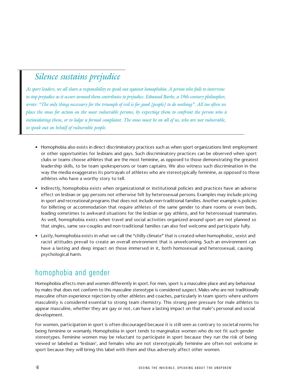# *Silence sustains prejudice*

As sport leaders, we all share a responsibility to speak out against homophobia. A person who fails to intervene to stop prejudice as it occurs around them contributes to prejudice. Edmund Burke, a 19th century philosopher, wrote: "The only thing necessary for the triumph of evil is for good [people] to do nothing". All too often we place the onus for action on the most vulnerable persons, by expecting them to confront the person who is intimidating them, or to lodge a formal complaint. The onus must be on all of us, who are not vulnerable, *to speak out on behalf of vulnerable people.* 

- Homophobia also exists in direct discriminatory practices such as when sport organizations limit employment or other opportunities for lesbians and gays. Such discriminatory practices can be observed when sport clubs or teams choose athletes that are the most feminine, as opposed to those demonstrating the greatest leadership skills, to be team spokespersons or team captains. We also witness such discrimination in the way the media exaggerates its portrayals of athletes who are stereotypically feminine, as opposed to those athletes who have a worthy story to tell.
- Indirectly, homophobia exists when organizational or institutional policies and practices have an adverse effect on lesbian or gay persons not otherwise felt by heterosexual persons. Examples may include pricing in sport and recreational programs that does not include non-traditional families. Another example is policies for billeting or accommodation that require athletes of the same gender to share rooms or even beds, leading sometimes to awkward situations for the lesbian or gay athlete, and for heterosexual teammates. As well, homophobia exists when travel and social activities organized around sport are not planned so that singles, same sex-couples and non-traditional families can also feel welcome and participate fully.
- Lastly, homophobia exists in what we call the "chilly climate" that is created when homophobic, sexist and racist attitudes prevail to create an overall environment that is unwelcoming. Such an environment can have a lasting and deep impact on those immersed in it, both homosexual and heterosexual, causing psychological harm.

# homophobia and gender

Homophobia affects men and women differently in sport. For men, sport is a masculine place and any behaviour by males that does not conform to this masculine stereotype is considered suspect. Males who are not traditionally masculine often experience rejection by other athletes and coaches, particularly in team sports where uniform masculinity is considered essential to strong team chemistry. This strong peer pressure for male athletes to appear masculine, whether they are gay or not, can have a lasting impact on that male's personal and social development.

For women, participation in sport is often discouraged because it is still seen as contrary to societal norms for being feminine or womanly. Homophobia in sport tends to marginalize women who do not fit such gender stereotypes. Feminine women may be reluctant to participate in sport because they run the risk of being viewed or labeled as 'lesbian', and females who are not stereotypically feminine are often not welcome in sport because they will bring this label with them and thus adversely affect other women.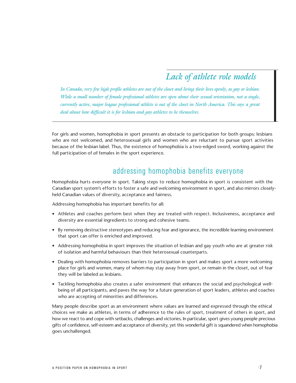# *Lack of athlete role models*

In Canada, very few high profile athletes are out of the closet and living their lives openly, as gay or lesbian. While a small number of female professional athletes are open about their sexual orientation, not a single, currently active, major league professional athlete is out of the closet in North America. This says a great *deal about how difficult it is for lesbian and gay athletes to be themselves.* 

For girls and women, homophobia in sport presents an obstacle to participation for both groups: lesbians who are not welcomed, and heterosexual girls and women who are reluctant to pursue sport activities because of the lesbian label. Thus, the existence of homophobia is a two-edged sword, working against the full participation of *all* females in the sport experience.

#### addressing homophobia benefits everyone

Homophobia hurts everyone in sport. Taking steps to reduce homophobia in sport is consistent with the Canadian sport system's efforts to foster a safe and welcoming environment in sport, and also mirrors closelyheld Canadian values of diversity, acceptance and fairness.

Addressing homophobia has important benefits for all:

- Athletes and coaches perform best when they are treated with respect. Inclusiveness, acceptance and diversity are essential ingredients to strong and cohesive teams.
- By removing destructive stereotypes and reducing fear and ignorance, the incredible learning environment that sport can offer is enriched and improved.
- Addressing homophobia in sport improves the situation of lesbian and gay youth who are at greater risk of isolation and harmful behaviours than their heterosexual counterparts.
- Dealing with homophobia removes barriers to participation in sport and makes sport a more welcoming place for girls and women, many of whom may stay away from sport, or remain in the closet, out of fear they will be labeled as lesbians.
- Tackling homophobia also creates a safer environment that enhances the social and psychological wellbeing of all participants, and paves the way for a future generation of sport leaders, athletes and coaches who are accepting of minorities and differences.

Many people describe sport as an environment where values are learned and expressed through the ethical choices we make as athletes, in terms of adherence to the rules of sport, treatment of others in sport, and how we react to and cope with setbacks, challenges and victories. In particular, sport gives young people precious gifts of confidence, self-esteem and acceptance of diversity, yet this wonderful gift is squandered when homophobia goes unchallenged.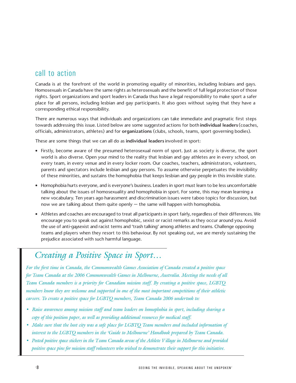### call to action

Canada is at the forefront of the world in promoting equality of minorities, including lesbians and gays. Homosexuals in Canada have the same rights as heterosexuals and the benefit of full legal protection of those rights. Sport organizations and sport leaders in Canada thus have a legal responsibility to make sport a safer place for all persons, including lesbian and gay participants. It also goes without saying that they have a corresponding ethical responsibility.

There are numerous ways that individuals and organizations can take immediate and pragmatic first steps towards addressing this issue. Listed below are some suggested actions for both individual leaders (coaches, officials, administrators, athletes) and for organizations (clubs, schools, teams, sport governing bodies).

These are some things that we can all do as individual leaders involved in sport:

- Firstly, become aware of the presumed heterosexual norm of sport. Just as society is diverse, the sport world is also diverse. Open your mind to the reality that lesbian and gay athletes are in every school, on every team, in every venue and in every locker room. Our coaches, teachers, administrators, volunteers, parents and spectators include lesbian and gay persons. To assume otherwise perpetuates the invisibility of these minorities, and sustains the homophobia that keeps lesbian and gay people in this invisible state.
- Homophobia hurts everyone, and is everyone's business. Leaders in sport must learn to be less uncomfortable talking about the issues of homosexuality and homophobia in sport. For some, this may mean learning a new vocabulary. Ten years ago harassment and discrimination issues were taboo topics for discussion, but now we are talking about them quite openly — the same will happen with homophobia.
- Athletes and coaches are encouraged to treat all participants in sport fairly, regardless of their differences. We encourage you to speak out against homophobic, sexist or racist remarks as they occur around you. Avoid the use of anti-ga,ysexist and racist terms and 'trash talking' among athletes and teams. Challenge opposing teams and players when they resort to this behaviour. By not speaking out, we are merely sustaining the prejudice associated with such harmful language.

# *Creating a Positive Space in Sport…*

*For the first time in Canada, the Commonwealth Games Association of Canada created a positive space for Team Canada at the 2006 Commonwealth Games in Melbourne, Australia. Meeting the needs of all Team Canada members is a priority for Canadian mission staff. By creating a positive space, LGBTQ members know they are welcome and supported in one of the most important competitions of their athletic careers. To create a positive space for LGBTQ members, Team Canada 2006 undertook to:* 

- *• Raise awareness among mission staff and team leaders on homophobia in sport, including sharing a copy of this position paper, as well as providing additional resources for medical staff.*
- Make sure that the host city was a safe place for LGBTO Team members and included information of *interest to the LGBTQ members in the 'Guide to Melbourne' Handbook prepared by Team Canada.*
- Posted positive space stickers in the Team Canada areas of the Athlete Village in Melbourne and provided *positive space pins for mission staff volunteers who wished to demonstrate their support for this initiative.*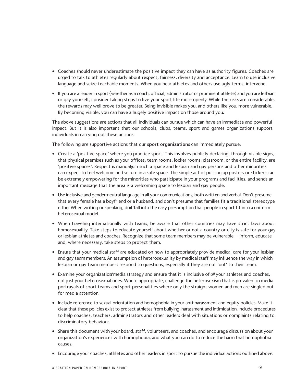- Coaches should never underestimate the positive impact they can have as authority figures. Coaches are urged to talk to athletes regularly about respect, fairness, diversity and acceptance. Learn to use inclusive language and seize teachable moments. When you hear athletes and others use ugly terms, intervene.
- If you are a leader in sport (whether as a coach, official, administrator or prominent athlete) and you are lesbian or gay yourself, consider taking steps to live your sport life more openly. While the risks are considerable, the rewards may well prove to be greater. Being invisible makes you, and others like you, more vulnerable. By becoming visible, you can have a hugely positive impact on those around you.

The above suggestions are actions that all individuals can pursue which can have an immediate and powerful impact. But it is also important that our schools, clubs, teams, sport and games organizations support individuals in carrying out these actions.

The following are supportive actions that our sport organizations can immediately pursue:

- Create a 'positive space' where you practice sport. This involves publicly declaring, through visible signs, that physical premises such as your offices, team rooms, locker rooms, classroom, or the entire facility, are 'positive spaces'. Respect is mandatom such a space and lesbian and gay persons and other minorities can expect to feel welcome and secure in a safe space. The simple act of putting up posters or stickers can be extremely empowering for the minorities who participate in your programs and facilities, and sends an important message that the area is a welcoming space to lesbian and gay people.
- Use inclusive and gender-neutral language in all your communications, both written and verbal. Don't presume that every female has a boyfriend or a husband, and don't presume that families fit a traditional stereotype either When writing or speaking, dont'fall into the easy presumption that people in sport fit into a uniform heterosexual model.
- When traveling internationally with teams, be aware that other countries may have strict laws about homosexuality. Take steps to educate yourself about whether or not a country or city is safe for your gay or lesbian athletes and coaches. Recognize that some team members may be vulnerable — inform, educate and, where necessary, take steps to protect them.
- Ensure that your medical staff are educated on how to appropriately provide medical care for your lesbian and gay team members. An assumption of heterosexuality by medical staff may influence the way in which lesbian or gay team members respond to questions, especially if they are not 'out' to their team.
- Examine your organizations'media strategy and ensure that it is inclusive of *all* your athletes and coaches, not just your heterosexual ones. Where appropriate, challenge the heterosexism that is prevalent in media portrayals of sport teams and sport personalities where only the straight women and men are singled out for media attention.
- Include reference to sexual orientation and homophobia in your anti-harassment and equity policies. Make it clear that these policies exist to protect athletes from bullying, harassment and intimidation. Include procedures to help coaches, teachers, administrators and other leaders deal with situations or complaints relating to discriminatory behaviour.
- Share this document with your board, staff, volunteers, and coaches, and encourage discussion about your organization's experiences with homophobia, and what you can do to reduce the harm that homophobia causes.
- Encourage your coaches, athletes and other leaders in sport to pursue the individual actions outlined above.